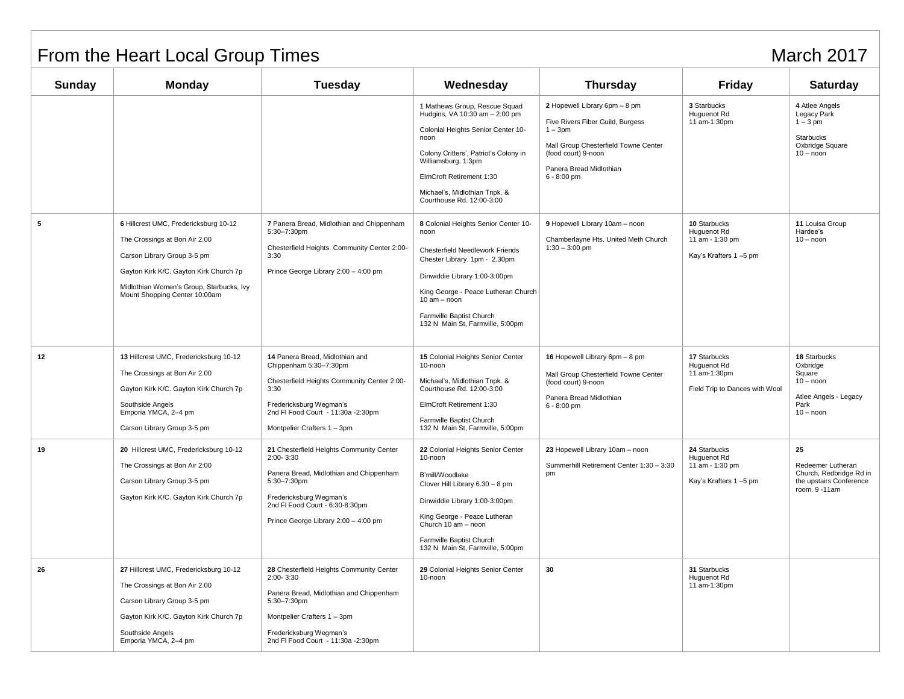## From the Heart Local Group Times March 2017

| <b>Sunday</b> | <b>Monday</b>                                                                                                                                                                                                                | Tuesday                                                                                                                                                                                                                   | Wednesday                                                                                                                                                                                                                                                                         | Thursday                                                                                                                                                                                  | <b>Friday</b>                                                                 | Saturday                                                                                          |
|---------------|------------------------------------------------------------------------------------------------------------------------------------------------------------------------------------------------------------------------------|---------------------------------------------------------------------------------------------------------------------------------------------------------------------------------------------------------------------------|-----------------------------------------------------------------------------------------------------------------------------------------------------------------------------------------------------------------------------------------------------------------------------------|-------------------------------------------------------------------------------------------------------------------------------------------------------------------------------------------|-------------------------------------------------------------------------------|---------------------------------------------------------------------------------------------------|
|               |                                                                                                                                                                                                                              |                                                                                                                                                                                                                           | 1 Mathews Group, Rescue Squad<br>Hudgins, VA 10:30 am - 2:00 pm<br>Colonial Heights Senior Center 10-<br>noon<br>Colony Critters', Patriot's Colony in<br>Williamsburg. 1:3pm<br>ElmCroft Retirement 1:30<br>Michael's, Midlothian Tnpk. &<br>Courthouse Rd. 12:00-3:00           | 2 Hopewell Library 6pm - 8 pm<br>Five Rivers Fiber Guild, Burgess<br>$1 - 3pm$<br>Mall Group Chesterfield Towne Center<br>(food court) 9-noon<br>Panera Bread Midlothian<br>$6 - 8:00$ pm | 3 Starbucks<br>Huguenot Rd<br>11 am-1:30pm                                    | 4 Atlee Angels<br>Legacy Park<br>$1-3$ pm<br><b>Starbucks</b><br>Oxbridge Square<br>$10 -$ noon   |
| 5             | 6 Hillcrest UMC, Fredericksburg 10-12<br>The Crossings at Bon Air 2.00<br>Carson Library Group 3-5 pm<br>Gayton Kirk K/C. Gayton Kirk Church 7p<br>Midlothian Women's Group, Starbucks, Ivy<br>Mount Shopping Center 10:00am | 7 Panera Bread, Midlothian and Chippenham<br>5:30-7:30pm<br>Chesterfield Heights Community Center 2:00-<br>3:30<br>Prince George Library 2:00 - 4:00 pm                                                                   | 8 Colonial Heights Senior Center 10-<br>noon<br><b>Chesterfield Needlework Friends</b><br>Chester Library. 1pm - 2.30pm<br>Dinwiddie Library 1:00-3:00pm<br>King George - Peace Lutheran Church<br>$10 am - noon$<br>Farmville Baptist Church<br>132 N Main St, Farmville, 5:00pm | 9 Hopewell Library 10am - noon<br>Chamberlayne Hts. United Meth Church<br>$1:30 - 3:00$ pm                                                                                                | 10 Starbucks<br>Huguenot Rd<br>11 am - 1:30 pm<br>Kay's Krafters 1-5 pm       | 11 Louisa Group<br>Hardee's<br>$10 -$ noon                                                        |
| 12            | 13 Hillcrest UMC, Fredericksburg 10-12<br>The Crossings at Bon Air 2.00<br>Gayton Kirk K/C. Gayton Kirk Church 7p<br>Southside Angels<br>Emporia YMCA, 2-4 pm<br>Carson Library Group 3-5 pm                                 | 14 Panera Bread, Midlothian and<br>Chippenham 5:30-7:30pm<br>Chesterfield Heights Community Center 2:00-<br>3:30<br>Fredericksburg Wegman's<br>2nd FI Food Court - 11:30a -2:30pm<br>Montpelier Crafters 1 - 3pm          | 15 Colonial Heights Senior Center<br>10-noon<br>Michael's, Midlothian Tnpk. &<br>Courthouse Rd. 12:00-3:00<br>ElmCroft Retirement 1:30<br>Farmville Baptist Church<br>132 N Main St, Farmville, 5:00pm                                                                            | 16 Hopewell Library 6pm - 8 pm<br>Mall Group Chesterfield Towne Center<br>(food court) 9-noon<br>Panera Bread Midlothian<br>$6 - 8:00$ pm                                                 | 17 Starbucks<br>Huguenot Rd<br>11 am-1:30pm<br>Field Trip to Dances with Wool | 18 Starbucks<br>Oxbridge<br>Square<br>$10 - noon$<br>Atlee Angels - Legacy<br>Park<br>$10 -$ noon |
| 19            | 20 Hillcrest UMC, Fredericksburg 10-12<br>The Crossings at Bon Air 2:00<br>Carson Library Group 3-5 pm<br>Gayton Kirk K/C. Gayton Kirk Church 7p                                                                             | 21 Chesterfield Heights Community Center<br>$2:00 - 3:30$<br>Panera Bread, Midlothian and Chippenham<br>5:30-7:30pm<br>Fredericksburg Wegman's<br>2nd FI Food Court - 6:30-8:30pm<br>Prince George Library 2:00 - 4:00 pm | 22 Colonial Heights Senior Center<br>10-noon<br>B'mill/Woodlake<br>Clover Hill Library 6.30 - 8 pm<br>Dinwiddie Library 1:00-3:00pm<br>King George - Peace Lutheran<br>Church 10 am - noon<br>Farmville Baptist Church<br>132 N Main St, Farmville, 5:00pm                        | 23 Hopewell Library 10am - noon<br>Summerhill Retirement Center 1:30 - 3:30<br>pm                                                                                                         | 24 Starbucks<br>Huguenot Rd<br>11 am - 1:30 pm<br>Kay's Krafters 1-5 pm       | 25<br>Redeemer Lutheran<br>Church, Redbridge Rd in<br>the upstairs Conference<br>room. 9 -11am    |
| 26            | 27 Hillcrest UMC, Fredericksburg 10-12<br>The Crossings at Bon Air 2.00<br>Carson Library Group 3-5 pm<br>Gayton Kirk K/C. Gayton Kirk Church 7p<br>Southside Angels<br>Emporia YMCA, 2-4 pm                                 | 28 Chesterfield Heights Community Center<br>$2:00 - 3:30$<br>Panera Bread, Midlothian and Chippenham<br>5:30-7:30pm<br>Montpelier Crafters 1 - 3pm<br>Fredericksburg Wegman's<br>2nd FI Food Court - 11:30a - 2:30pm      | 29 Colonial Heights Senior Center<br>10-noon                                                                                                                                                                                                                                      | 30                                                                                                                                                                                        | 31 Starbucks<br>Huguenot Rd<br>11 am-1:30pm                                   |                                                                                                   |